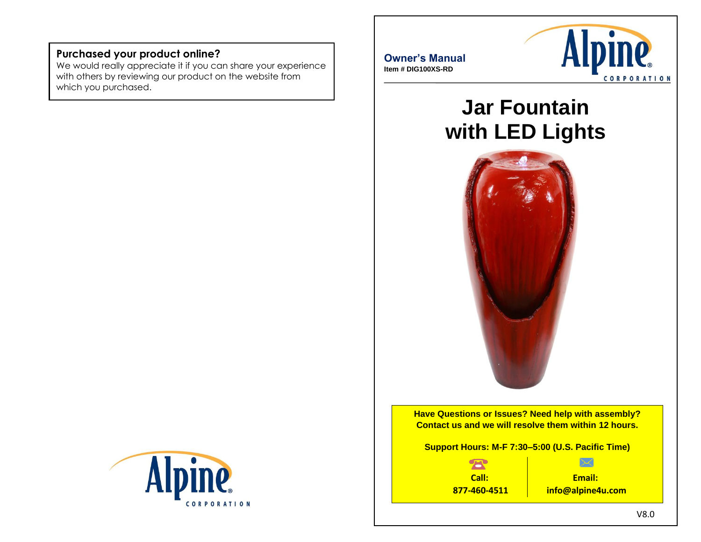# **Purchased your product online?**

We would really appreciate it if you can share your experience with others by reviewing our product on the website from which you purchased.





# **Jar Fountain with LED Lights**



**Have Questions or Issues? Need help with assembly? Contact us and we will resolve them within 12 hours.**

**Support Hours: M-F 7:30–5:00 (U.S. Pacific Time)**

公 **Call: 877-460-4511**

**Email: info@alpine4u.com**

 $\overline{\times}$ 

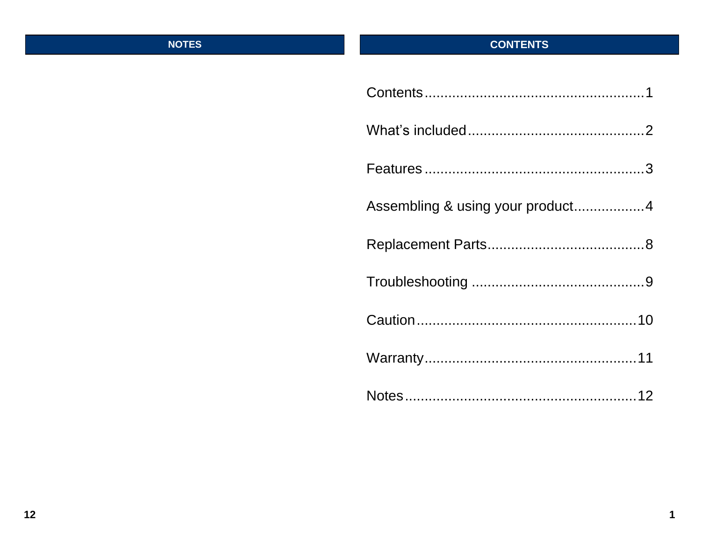# **NOTES**

# **CONTENTS**

| Assembling & using your product4 |
|----------------------------------|
|                                  |
|                                  |
|                                  |
|                                  |
|                                  |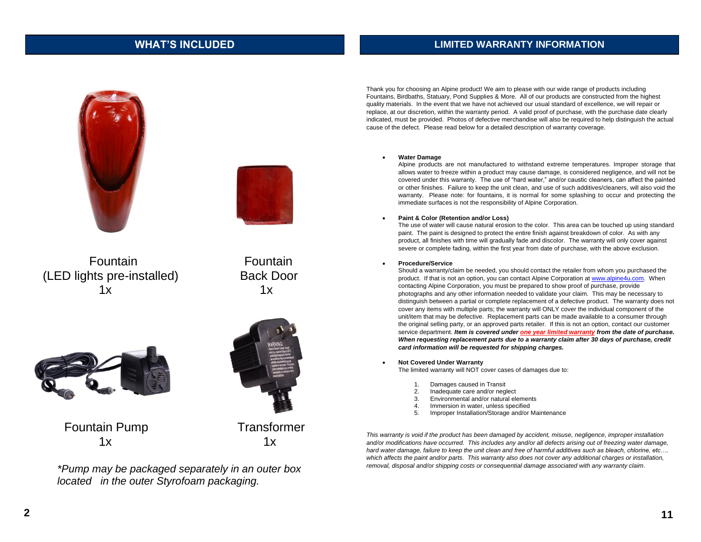## **WHAT'S INCLUDED**

### **LIMITED WARRANTY INFORMATION**





Fountain Fountain (LED lights pre-installed) Back Door  $1x$   $1x$ 





Fountain Pump Transformer  $1x$   $1x$ 



*\*Pump may be packaged separately in an outer box located in the outer Styrofoam packaging.*

Thank you for choosing an Alpine product! We aim to please with our wide range of products including Fountains, Birdbaths, Statuary, Pond Supplies & More. All of our products are constructed from the highest quality materials. In the event that we have not achieved our usual standard of excellence, we will repair or replace, at our discretion, within the warranty period. A valid proof of purchase, with the purchase date clearly indicated, must be provided. Photos of defective merchandise will also be required to help distinguish the actual cause of the defect. Please read below for a detailed description of warranty coverage.

### • **Water Damage**

Alpine products are not manufactured to withstand extreme temperatures. Improper storage that allows water to freeze within a product may cause damage, is considered negligence, and will not be covered under this warranty. The use of "hard water," and/or caustic cleaners, can affect the painted or other finishes. Failure to keep the unit clean, and use of such additives/cleaners, will also void the warranty. Please note: for fountains, it is normal for some splashing to occur and protecting the immediate surfaces is not the responsibility of Alpine Corporation.

### • **Paint & Color (Retention and/or Loss)**

The use of water will cause natural erosion to the color. This area can be touched up using standard paint. The paint is designed to protect the entire finish against breakdown of color. As with any product, all finishes with time will gradually fade and discolor. The warranty will only cover against severe or complete fading, within the first year from date of purchase, with the above exclusion.

### • **Procedure/Service**

Should a warranty/claim be needed, you should contact the retailer from whom you purchased the product. If that is not an option, you can contact Alpine Corporation a[t www.alpine4u.com.](http://www.alpine4u.com/) When contacting Alpine Corporation, you must be prepared to show proof of purchase, provide photographs and any other information needed to validate your claim. This may be necessary to distinguish between a partial or complete replacement of a defective product. The warranty does not cover any items with multiple parts; the warranty will ONLY cover the individual component of the unit/item that may be defective. Replacement parts can be made available to a consumer through the original selling party, or an approved parts retailer. If this is not an option, contact our customer service department. *Item is covered under one year limited warranty from the date of purchase. When requesting replacement parts due to a warranty claim after 30 days of purchase, credit card information will be requested for shipping charges.*

• **Not Covered Under Warranty** 

The limited warranty will NOT cover cases of damages due to:

- 1. Damages caused in Transit
- 2. Inadequate care and/or neglect
- 3. Environmental and/or natural elements
- 4. Immersion in water, unless specified
- 5. Improper Installation/Storage and/or Maintenance

*This warranty is void if the product has been damaged by accident, misuse, negligence, improper installation*  and/or modifications have occurred. This includes any and/or all defects arising out of freezing water damage, *hard water damage, failure to keep the unit clean and free of harmful additives such as bleach, chlorine, etc…. which affects the paint and/or parts. This warranty also does not cover any additional charges or installation, removal, disposal and/or shipping costs or consequential damage associated with any warranty claim.*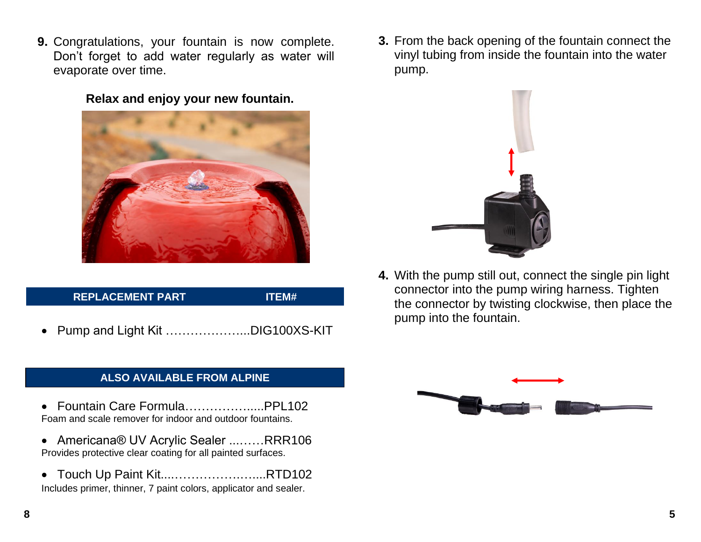**9.** Congratulations, your fountain is now complete. Don't forget to add water regularly as water will evaporate over time.

**Relax and enjoy your new fountain.**



# **REPLACEMENT PART ITEM#**

• Pump and Light Kit ………………...DIG100XS-KIT

# **ALSO AVAILABLE FROM ALPINE**

- Fountain Care Formula…………….....PPL102 Foam and scale remover for indoor and outdoor fountains.
- Americana® UV Acrylic Sealer ...……RRR106 Provides protective clear coating for all painted surfaces.
- Touch Up Paint Kit....…………….…....RTD102 Includes primer, thinner, 7 paint colors, applicator and sealer.

**3.** From the back opening of the fountain connect the vinyl tubing from inside the fountain into the water pump.



**4.** With the pump still out, connect the single pin light connector into the pump wiring harness. Tighten the connector by twisting clockwise, then place the pump into the fountain.

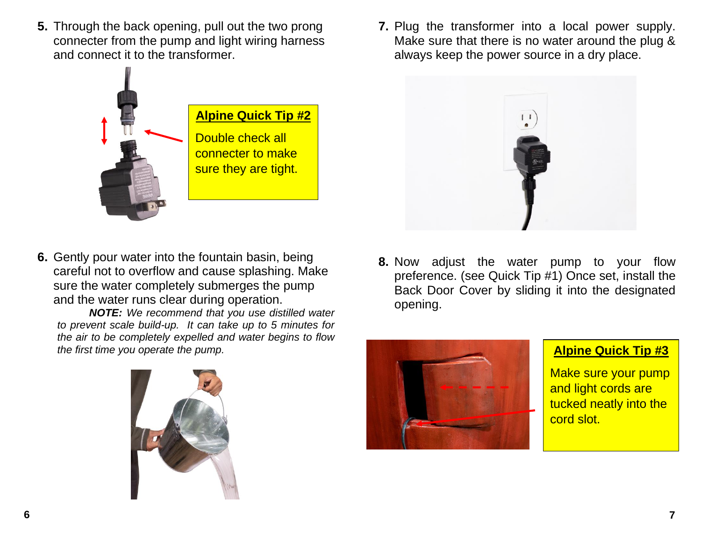**5.** Through the back opening, pull out the two prong connecter from the pump and light wiring harness and connect it to the transformer.

**Alpine Quick Tip #2**

Double check all connecter to make sure they are tight.

**6.** Gently pour water into the fountain basin, being careful not to overflow and cause splashing. Make sure the water completely submerges the pump and the water runs clear during operation.

*NOTE: We recommend that you use distilled water to prevent scale build-up. It can take up to 5 minutes for the air to be completely expelled and water begins to flow the first time you operate the pump.*





**8.** Now adjust the water pump to your flow preference. (see Quick Tip #1) Once set, install the Back Door Cover by sliding it into the designated opening.



**Alpine Quick Tip #3**

Make sure your pump and light cords are tucked neatly into the cord slot.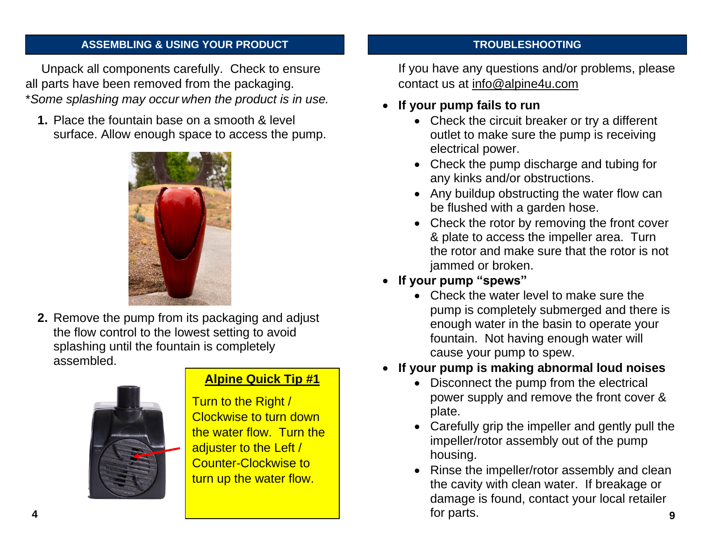# **ASSEMBLING & USING YOUR PRODUCT**

Unpack all components carefully. Check to ensure all parts have been removed from the packaging. \**Some splashing may occur when the product is in use.* 

**1.** Place the fountain base on a smooth & level surface. Allow enough space to access the pump.



**2.** Remove the pump from its packaging and adjust the flow control to the lowest setting to avoid splashing until the fountain is completely assembled.



# **Alpine Quick Tip #1**

Turn to the Right / Clockwise to turn down the water flow. Turn the adjuster to the Left / Counter-Clockwise to turn up the water flow.

## **TROUBLESHOOTING**

If you have any questions and/or problems, please contact us at info@alpine4u.com

- **If your pump fails to run**
	- Check the circuit breaker or try a different outlet to make sure the pump is receiving electrical power.
	- Check the pump discharge and tubing for any kinks and/or obstructions.
	- Any buildup obstructing the water flow can be flushed with a garden hose.
	- Check the rotor by removing the front cover & plate to access the impeller area. Turn the rotor and make sure that the rotor is not jammed or broken.
- **If your pump "spews"** 
	- Check the water level to make sure the pump is completely submerged and there is enough water in the basin to operate your fountain. Not having enough water will cause your pump to spew.
- **If your pump is making abnormal loud noises**
	- Disconnect the pump from the electrical power supply and remove the front cover & plate.
	- Carefully grip the impeller and gently pull the impeller/rotor assembly out of the pump housing.
- Rinse the impeller/rotor assembly and clean the cavity with clean water. If breakage or damage is found, contact your local retailer for parts. **4 9**